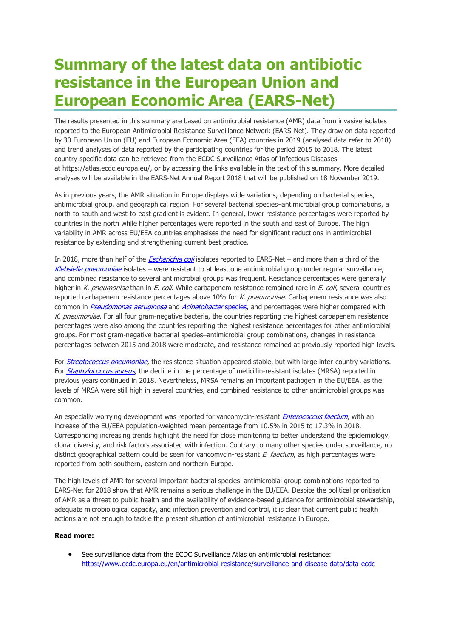## **Summary of the latest data on antibiotic resistance in the European Union and European Economic Area (EARS-Net)**

The results presented in this summary are based on antimicrobial resistance (AMR) data from invasive isolates reported to the European Antimicrobial Resistance Surveillance Network (EARS-Net). They draw on data reported by 30 European Union (EU) and European Economic Area (EEA) countries in 2019 (analysed data refer to 2018) and trend analyses of data reported by the participating countries for the period 2015 to 2018. The latest country-specific data can be retrieved from the ECDC Surveillance Atlas of Infectious Diseases at [https://atlas.ecdc.europa.eu/,](https://atlas.ecdc.europa.eu/) or by accessing the links available in the text of this summary. More detailed analyses will be available in the EARS-Net Annual Report 2018 that will be published on 18 November 2019.

As in previous years, the AMR situation in Europe displays wide variations, depending on bacterial species, antimicrobial group, and geographical region. For several bacterial species–antimicrobial group combinations, a north-to-south and west-to-east gradient is evident. In general, lower resistance percentages were reported by countries in the north while higher percentages were reported in the south and east of Europe. The high variability in AMR across EU/EEA countries emphasises the need for significant reductions in antimicrobial resistance by extending and strengthening current best practice.

In 2018, more than half of the *[Escherichia coli](https://atlas.ecdc.europa.eu/public/index.aspx?Dataset=27&HealthTopic=4&Indicator=391576&GeoResolution=2&TimeResolution=Year&StartTime=2000&EndTime=2018&CurrentTime=2018&Distribution=391579&DistributionRepresentation=B&TimeSeries=region&TimeSeriesRepresentation=T)* isolates reported to EARS-Net – and more than a third of the [Klebsiella pneumoniae](https://atlas.ecdc.europa.eu/public/index.aspx?Dataset=27&HealthTopic=4&Indicator=391527&GeoResolution=2&TimeResolution=Year&StartTime=2005&EndTime=2018&CurrentTime=2018&Distribution=391531&DistributionRepresentation=B&TimeSeries=region&TimeSeriesRepresentation=T) isolates – were resistant to at least one antimicrobial group under regular surveillance, and combined resistance to several antimicrobial groups was frequent. Resistance percentages were generally higher in K. pneumoniae than in E. coli. While carbapenem resistance remained rare in E. coli, several countries reported carbapenem resistance percentages above 10% for K. pneumoniae. Carbapenem resistance was also common in [Pseudomonas aeruginosa](https://atlas.ecdc.europa.eu/public/index.aspx?Dataset=27&HealthTopic=4&Indicator=391665&GeoResolution=2&TimeResolution=Year&StartTime=2005&EndTime=2018&CurrentTime=2018&Distribution=391669&DistributionRepresentation=B&TimeSeries=region&TimeSeriesRepresentation=T) and [Acinetobacter](https://atlas.ecdc.europa.eu/public/index.aspx?Dataset=27&HealthTopic=4&Indicator=391554&GeoResolution=2&TimeResolution=Year&StartTime=2012&EndTime=2018&CurrentTime=2018&Distribution=391558&DistributionRepresentation=B&TimeSeries=region&TimeSeriesRepresentation=T) species, and percentages were higher compared with K. pneumoniae. For all four gram-negative bacteria, the countries reporting the highest carbapenem resistance percentages were also among the countries reporting the highest resistance percentages for other antimicrobial groups. For most gram-negative bacterial species–antimicrobial group combinations, changes in resistance percentages between 2015 and 2018 were moderate, and resistance remained at previously reported high levels.

For *[Streptococcus pneumoniae](https://atlas.ecdc.europa.eu/public/index.aspx?Dataset=27&HealthTopic=4&Indicator=391648&GeoResolution=2&TimeResolution=Year&StartTime=2005&EndTime=2018&CurrentTime=2018&Distribution=391652&DistributionRepresentation=B&TimeSeries=region&TimeSeriesRepresentation=T)*, the resistance situation appeared stable, but with large inter-country variations. For [Staphylococcus aureus](https://atlas.ecdc.europa.eu/public/index.aspx?Dataset=27&HealthTopic=4&Indicator=391641&GeoResolution=2&TimeResolution=Year&StartTime=2000&EndTime=2018&CurrentTime=2018&Distribution=391645&DistributionRepresentation=B&TimeSeries=region&TimeSeriesRepresentation=T), the decline in the percentage of meticillin-resistant isolates (MRSA) reported in previous years continued in 2018. Nevertheless, MRSA remains an important pathogen in the EU/EEA, as the levels of MRSA were still high in several countries, and combined resistance to other antimicrobial groups was common.

An especially worrying development was reported for vancomycin-resistant *[Enterococcus faecium](https://atlas.ecdc.europa.eu/public/index.aspx?Dataset=27&HealthTopic=4&Indicator=391629&GeoResolution=2&TimeResolution=Year&StartTime=2000&EndTime=2018&CurrentTime=2018&Distribution=391633&DistributionRepresentation=B&TimeSeries=region&TimeSeriesRepresentation=T)*, with an increase of the EU/EEA population-weighted mean percentage from 10.5% in 2015 to 17.3% in 2018. Corresponding increasing trends highlight the need for close monitoring to better understand the epidemiology, clonal diversity, and risk factors associated with infection. Contrary to many other species under surveillance, no distinct geographical pattern could be seen for vancomycin-resistant  $E$ . faecium, as high percentages were reported from both southern, eastern and northern Europe.

The high levels of AMR for several important bacterial species–antimicrobial group combinations reported to EARS-Net for 2018 show that AMR remains a serious challenge in the EU/EEA. Despite the political prioritisation of AMR as a threat to public health and the availability of evidence-based guidance for antimicrobial stewardship, adequate microbiological capacity, and infection prevention and control, it is clear that current public health actions are not enough to tackle the present situation of antimicrobial resistance in Europe.

## **Read more:**

 See surveillance data from the ECDC Surveillance Atlas on antimicrobial resistance: <https://www.ecdc.europa.eu/en/antimicrobial-resistance/surveillance-and-disease-data/data-ecdc>